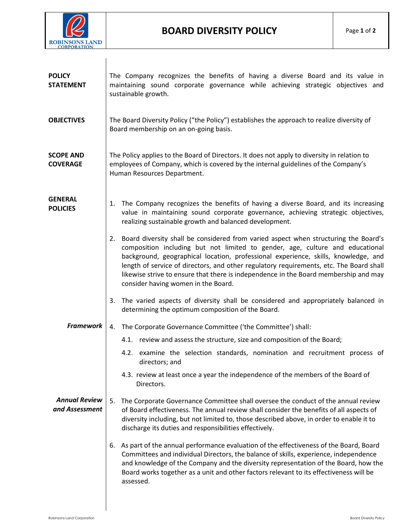

| <b>POLICY</b><br><b>STATEMENT</b>      | The Company recognizes the benefits of having a diverse Board and its value in<br>maintaining sound corporate governance while achieving strategic objectives and<br>sustainable growth.                                                                                                                                                                                                                                                                                                   |
|----------------------------------------|--------------------------------------------------------------------------------------------------------------------------------------------------------------------------------------------------------------------------------------------------------------------------------------------------------------------------------------------------------------------------------------------------------------------------------------------------------------------------------------------|
| <b>OBJECTIVES</b>                      | The Board Diversity Policy ("the Policy") establishes the approach to realize diversity of<br>Board membership on an on-going basis.                                                                                                                                                                                                                                                                                                                                                       |
| <b>SCOPE AND</b><br><b>COVERAGE</b>    | The Policy applies to the Board of Directors. It does not apply to diversity in relation to<br>employees of Company, which is covered by the internal guidelines of the Company's<br>Human Resources Department.                                                                                                                                                                                                                                                                           |
| <b>GENERAL</b><br><b>POLICIES</b>      | The Company recognizes the benefits of having a diverse Board, and its increasing<br>1.<br>value in maintaining sound corporate governance, achieving strategic objectives,<br>realizing sustainable growth and balanced development.                                                                                                                                                                                                                                                      |
|                                        | Board diversity shall be considered from varied aspect when structuring the Board's<br>2.<br>composition including but not limited to gender, age, culture and educational<br>background, geographical location, professional experience, skills, knowledge, and<br>length of service of directors, and other regulatory requirements, etc. The Board shall<br>likewise strive to ensure that there is independence in the Board membership and may<br>consider having women in the Board. |
|                                        | The varied aspects of diversity shall be considered and appropriately balanced in<br>3.<br>determining the optimum composition of the Board.                                                                                                                                                                                                                                                                                                                                               |
| <b>Framework</b>                       | The Corporate Governance Committee ('the Committee') shall:<br>4.                                                                                                                                                                                                                                                                                                                                                                                                                          |
|                                        | 4.1. review and assess the structure, size and composition of the Board;                                                                                                                                                                                                                                                                                                                                                                                                                   |
|                                        | 4.2. examine the selection standards, nomination and recruitment process of<br>directors; and                                                                                                                                                                                                                                                                                                                                                                                              |
|                                        | 4.3. review at least once a year the independence of the members of the Board of<br>Directors.                                                                                                                                                                                                                                                                                                                                                                                             |
| <b>Annual Review</b><br>and Assessment | The Corporate Governance Committee shall oversee the conduct of the annual review<br>5.<br>of Board effectiveness. The annual review shall consider the benefits of all aspects of<br>diversity including, but not limited to, those described above, in order to enable it to<br>discharge its duties and responsibilities effectively.                                                                                                                                                   |
|                                        | As part of the annual performance evaluation of the effectiveness of the Board, Board<br>6.<br>Committees and individual Directors, the balance of skills, experience, independence<br>and knowledge of the Company and the diversity representation of the Board, how the<br>Board works together as a unit and other factors relevant to its effectiveness will be<br>assessed.                                                                                                          |